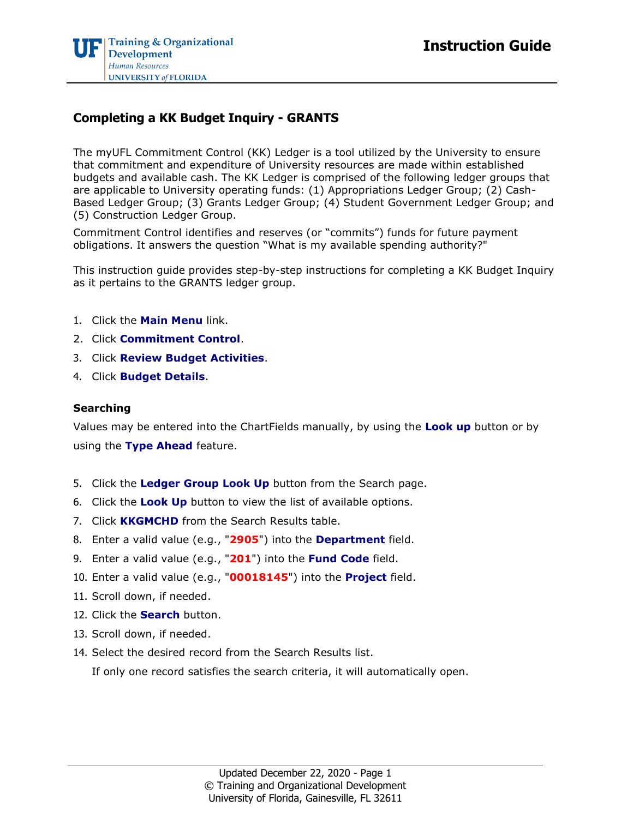## **Completing a KK Budget Inquiry - GRANTS**

The myUFL Commitment Control (KK) Ledger is a tool utilized by the University to ensure that commitment and expenditure of University resources are made within established budgets and available cash. The KK Ledger is comprised of the following ledger groups that are applicable to University operating funds: (1) Appropriations Ledger Group; (2) Cash-Based Ledger Group; (3) Grants Ledger Group; (4) Student Government Ledger Group; and (5) Construction Ledger Group.

Commitment Control identifies and reserves (or "commits") funds for future payment obligations. It answers the question "What is my available spending authority?"

This instruction guide provides step-by-step instructions for completing a KK Budget Inquiry as it pertains to the GRANTS ledger group.

- 1. Click the **Main Menu** link.
- 2. Click **Commitment Control**.
- 3. Click **Review Budget Activities**.
- 4. Click **Budget Details**.

## **Searching**

Values may be entered into the ChartFields manually, by using the **Look up** button or by using the **Type Ahead** feature.

- 5. Click the **Ledger Group Look Up** button from the Search page.
- 6. Click the **Look Up** button to view the list of available options.
- 7. Click **KKGMCHD** from the Search Results table.
- 8. Enter a valid value (e.g., "**2905**") into the **Department** field.
- 9. Enter a valid value (e.g., "**201**") into the **Fund Code** field.
- 10. Enter a valid value (e.g., "**00018145**") into the **Project** field.
- 11. Scroll down, if needed.
- 12. Click the **Search** button.
- 13. Scroll down, if needed.
- 14. Select the desired record from the Search Results list.

If only one record satisfies the search criteria, it will automatically open.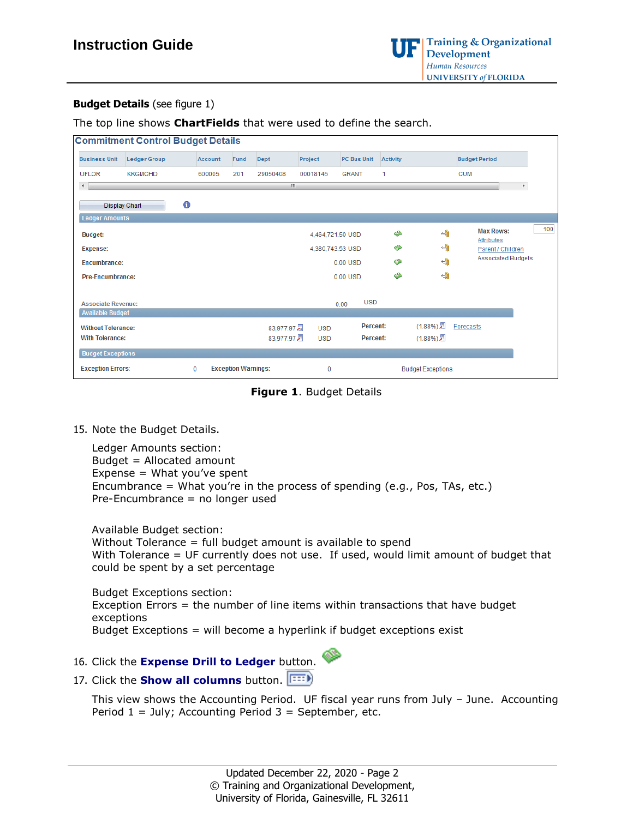

## **Budget Details** (see figure 1)

The top line shows **ChartFields** that were used to define the search.

| <b>Commitment Control Budget Details</b>             |                     |             |                            |             |                  |                    |                 |                          |                                 |                       |
|------------------------------------------------------|---------------------|-------------|----------------------------|-------------|------------------|--------------------|-----------------|--------------------------|---------------------------------|-----------------------|
|                                                      |                     |             |                            |             |                  |                    |                 |                          |                                 |                       |
| <b>Business Unit</b>                                 | <b>Ledger Group</b> | Account     | Fund                       | Dept        | Project          | <b>PC Bus Unit</b> | <b>Activity</b> |                          | <b>Budget Period</b>            |                       |
| <b>UFLOR</b>                                         | <b>KKGMCHD</b>      | 600005      | 201                        | 29050408    | 00018145         | <b>GRANT</b>       | 1               |                          | <b>CUM</b>                      |                       |
| $\overline{a}$                                       |                     |             |                            | m.          |                  |                    |                 |                          |                                 | $\blacktriangleright$ |
|                                                      | 0                   |             |                            |             |                  |                    |                 |                          |                                 |                       |
| Display Chart                                        |                     |             |                            |             |                  |                    |                 |                          |                                 |                       |
| <b>Ledger Amounts</b>                                |                     |             |                            |             |                  |                    |                 |                          |                                 |                       |
| <b>Budget:</b>                                       |                     |             |                            |             | 4,464,721.50 USD |                    | া               | $\overline{\mathbb{L}}$  | <b>Max Rows:</b>                | 100                   |
| <b>Expense:</b>                                      |                     |             |                            |             | 4,380,743.53 USD |                    | ⚠               | ⊣                        | Attributes<br>Parent / Children |                       |
| <b>Encumbrance:</b>                                  |                     |             |                            |             |                  | $0.00$ USD         | ▧               | -9                       | <b>Associated Budgets</b>       |                       |
| <b>Pre-Encumbrance:</b>                              |                     |             |                            |             |                  | $0.00$ USD         | ◈               | $\overline{\mathbb{Q}}$  |                                 |                       |
|                                                      |                     |             |                            |             |                  |                    |                 |                          |                                 |                       |
|                                                      |                     |             |                            |             |                  | <b>USD</b>         |                 |                          |                                 |                       |
| <b>Associate Revenue:</b><br><b>Available Budget</b> |                     |             |                            |             |                  | 0.00               |                 |                          |                                 |                       |
|                                                      |                     |             |                            |             |                  |                    |                 |                          |                                 |                       |
| <b>Without Tolerance:</b>                            |                     |             |                            | 83,977.97 园 | <b>USD</b>       | <b>Percent:</b>    |                 | $(1.88%)$ <sub>2</sub>   | Forecasts                       |                       |
| <b>With Tolerance:</b>                               |                     |             |                            | 83,977.97 遍 | <b>USD</b>       | <b>Percent:</b>    |                 | $(1.88%)$ <sub>2</sub>   |                                 |                       |
| <b>Budget Exceptions</b>                             |                     |             |                            |             |                  |                    |                 |                          |                                 |                       |
| <b>Exception Errors:</b>                             |                     | $\mathbf 0$ | <b>Exception Warnings:</b> |             | $\mathbf 0$      |                    |                 | <b>Budget Exceptions</b> |                                 |                       |

**Figure 1**. Budget Details

15. Note the Budget Details.

Ledger Amounts section: Budget = Allocated amount Expense = What you've spent Encumbrance = What you're in the process of spending (e.g., Pos, TAs, etc.) Pre-Encumbrance = no longer used

Available Budget section: Without Tolerance = full budget amount is available to spend With Tolerance = UF currently does not use. If used, would limit amount of budget that could be spent by a set percentage

Budget Exceptions section: Exception Errors = the number of line items within transactions that have budget exceptions Budget Exceptions = will become a hyperlink if budget exceptions exist

16. Click the **Expense Drill to Ledger** button.



17. Click the **Show all columns** button.

This view shows the Accounting Period. UF fiscal year runs from July – June. Accounting Period  $1 =$  July; Accounting Period  $3 =$  September, etc.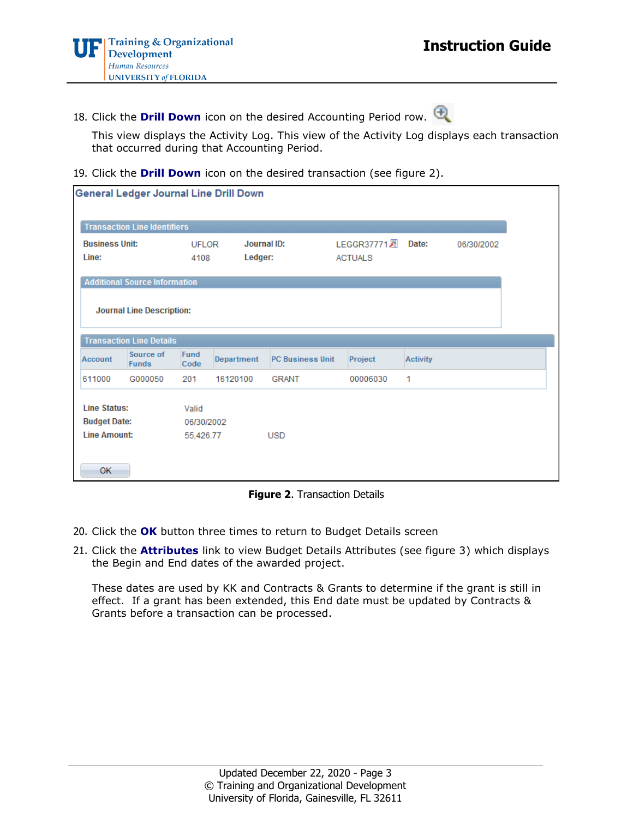18. Click the **Drill Down** icon on the desired Accounting Period row.

This view displays the Activity Log. This view of the Activity Log displays each transaction that occurred during that Accounting Period.

19. Click the **Drill Down** icon on the desired transaction (see figure 2).

| General Ledger Journal Line Drill Down     |                                      |                      |                        |                         |                                           |                 |            |  |
|--------------------------------------------|--------------------------------------|----------------------|------------------------|-------------------------|-------------------------------------------|-----------------|------------|--|
| <b>Transaction Line Identifiers</b>        |                                      |                      |                        |                         |                                           |                 |            |  |
| <b>Business Unit:</b><br>Line:             |                                      | <b>UFLOR</b><br>4108 | Journal ID:<br>Ledger: |                         | LEGGR37771 <sub>2</sub><br><b>ACTUALS</b> | Date:           | 06/30/2002 |  |
|                                            | <b>Additional Source Information</b> |                      |                        |                         |                                           |                 |            |  |
|                                            | <b>Journal Line Description:</b>     |                      |                        |                         |                                           |                 |            |  |
|                                            | <b>Transaction Line Details</b>      |                      |                        |                         |                                           |                 |            |  |
| Account                                    | Source of<br><b>Funds</b>            | <b>Fund</b><br>Code  | Department             | <b>PC Business Unit</b> | Project                                   | <b>Activity</b> |            |  |
| 611000                                     | G000050                              | 201                  | 16120100               | <b>GRANT</b>            | 00006030                                  | 1               |            |  |
| <b>Line Status:</b><br><b>Budget Date:</b> |                                      | Valid                | 06/30/2002             |                         |                                           |                 |            |  |
| <b>Line Amount:</b>                        |                                      | 55,426.77            |                        | <b>USD</b>              |                                           |                 |            |  |
| <b>OK</b>                                  |                                      |                      |                        |                         |                                           |                 |            |  |

**Figure 2**. Transaction Details

- 20. Click the **OK** button three times to return to Budget Details screen
- 21. Click the **Attributes** link to view Budget Details Attributes (see figure 3) which displays the Begin and End dates of the awarded project.

These dates are used by KK and Contracts & Grants to determine if the grant is still in effect. If a grant has been extended, this End date must be updated by Contracts & Grants before a transaction can be processed.